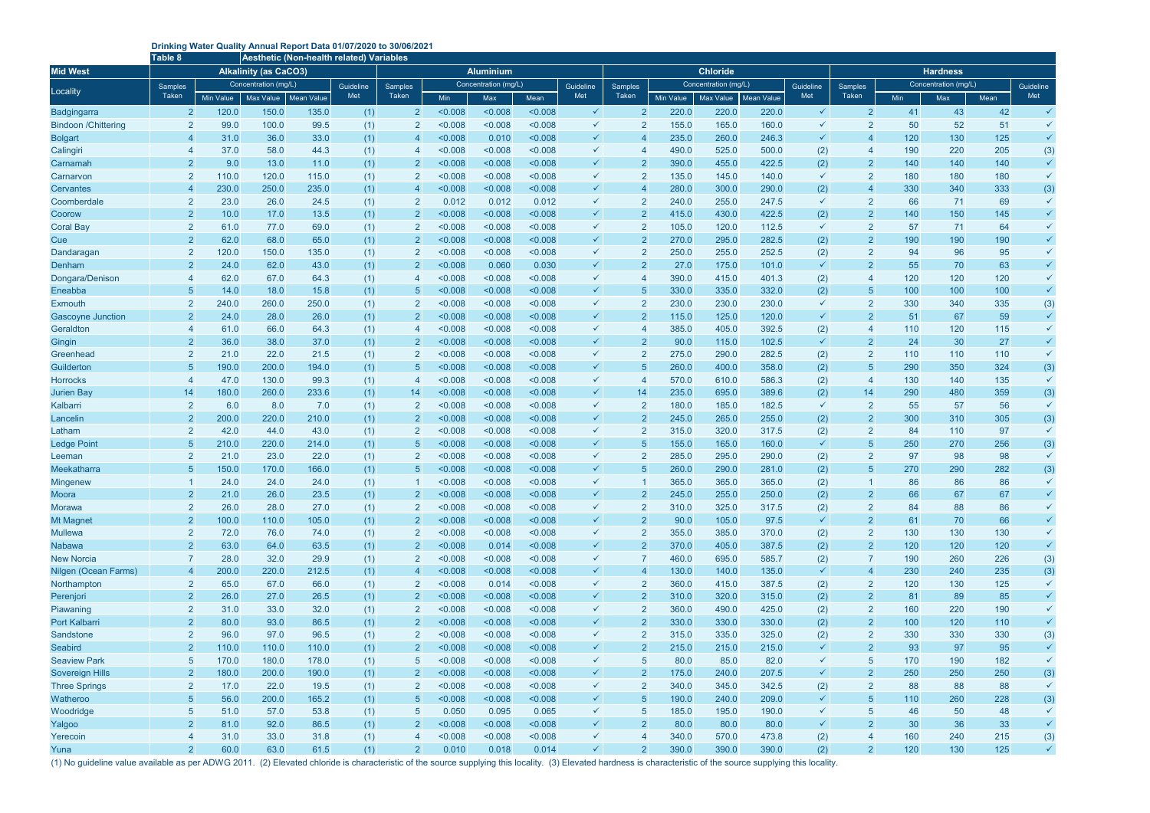## **Drinking Water Quality Annual Report Data 01/07/2020 to 30/06/2021**

|                             | Table 8        |           |                              | Aesthetic (Non-health related) Variables |           |                |                      |         |         |              |                 |                         |                      |            |              |                |                      |     |      |              |  |  |
|-----------------------------|----------------|-----------|------------------------------|------------------------------------------|-----------|----------------|----------------------|---------|---------|--------------|-----------------|-------------------------|----------------------|------------|--------------|----------------|----------------------|-----|------|--------------|--|--|
| <b>Mid West</b>             |                |           | <b>Alkalinity (as CaCO3)</b> |                                          |           |                | <b>Aluminium</b>     |         |         |              |                 |                         | <b>Chloride</b>      |            |              |                | <b>Hardness</b>      |     |      |              |  |  |
|                             | Samples        |           | Concentration (mg/L)         |                                          | Guideline | Samples        | Concentration (mg/L) |         |         | Guideline    | <b>Samples</b>  |                         | Concentration (mg/L) |            | Guideline    | Samples        | Concentration (mg/L) |     |      | Guideline    |  |  |
| Locality                    | Taken          | Min Value | Max Value                    | <b>Mean Value</b>                        | Met       | Taken          | Min                  | Max     | Mean    | Met          | Taken           | <b>Min Value</b>        | Max Value            | Mean Value | Met          | Taken          | <b>Min</b>           | Max | Mean | Met          |  |  |
| <b>Badgingarra</b>          | $\overline{2}$ | 120.0     | 150.0                        | 135.0                                    | (1)       | $\overline{2}$ | < 0.008              | < 0.008 | < 0.008 | $\checkmark$ | -2              | 220.0                   | 220.0                | 220.0      | $\checkmark$ | 2              | 41                   | 43  | 42   | $\checkmark$ |  |  |
| <b>Bindoon /Chittering</b>  | $\overline{2}$ | 99.0      | 100.0                        | 99.5                                     | (1)       | $\overline{2}$ | < 0.008              | < 0.008 | < 0.008 | $\checkmark$ | $\overline{2}$  | 155.0                   | 165.0                | 160.0      | $\checkmark$ | 2              | 50                   | 52  | 51   | $\checkmark$ |  |  |
| <b>Bolgart</b>              | $\overline{4}$ | 31.0      | 36.0                         | 33.0                                     | (1)       | $\overline{4}$ | < 0.008              | 0.010   | < 0.008 | $\checkmark$ | $\overline{4}$  | 235.0                   | 260.0                | 246.3      | $\checkmark$ |                | 120                  | 130 | 125  | $\checkmark$ |  |  |
| Calingiri                   |                | 37.0      | 58.0                         | 44.3                                     | (1)       | $\overline{4}$ | < 0.008              | < 0.008 | < 0.008 | $\checkmark$ | $\overline{4}$  | 490.0                   | 525.0                | 500.0      | (2)          |                | 190                  | 220 | 205  | (3)          |  |  |
| Carnamah                    | $\overline{2}$ | 9.0       | 13.0                         | 11.0                                     | (1)       |                | < 0.008              | < 0.008 | < 0.008 | $\checkmark$ | $\overline{2}$  | 390.0                   | 455.0                | 422.5      | (2)          | $\overline{2}$ | 140                  | 140 | 140  | $\checkmark$ |  |  |
| Carnarvon                   | $\overline{2}$ | 110.0     | 120.0                        | 115.0                                    | (1)       | $\overline{2}$ | < 0.008              | < 0.008 | < 0.008 | $\checkmark$ | $\overline{2}$  | 135.0                   | 145.0                | 140.0      | $\checkmark$ | 2              | 180                  | 180 | 180  | $\checkmark$ |  |  |
| <b>Cervantes</b>            | $\overline{4}$ | 230.0     | 250.0                        | 235.0                                    | (1)       | 4              | < 0.008              | < 0.008 | < 0.008 | $\checkmark$ | $\overline{4}$  | 280.0                   | 300.0                | 290.0      | (2)          | $\overline{4}$ | 330                  | 340 | 333  | (3)          |  |  |
| Coomberdale                 | $\overline{2}$ | 23.0      | 26.0                         | 24.5                                     | (1)       | $\overline{2}$ | 0.012                | 0.012   | 0.012   | $\checkmark$ | $\overline{2}$  | 240.0                   | 255.0                | 247.5      | $\checkmark$ | 2              | 66                   | 71  | 69   | $\checkmark$ |  |  |
| Coorow                      | $\overline{2}$ | 10.0      | 17.0                         | 13.5                                     | (1)       | $\overline{2}$ | < 0.008              | < 0.008 | < 0.008 | $\checkmark$ |                 | $\overline{2}$<br>415.0 | 430.0                | 422.5      | (2)          | $\overline{2}$ | 140                  | 150 | 145  | $\checkmark$ |  |  |
| <b>Coral Bay</b>            | $\overline{2}$ | 61.0      | 77.0                         | 69.0                                     | (1)       | $\overline{2}$ | < 0.008              | < 0.008 | < 0.008 | $\checkmark$ | $\overline{2}$  | 105.0                   | 120.0                | 112.5      | $\checkmark$ | $\overline{2}$ | 57                   | 71  | 64   |              |  |  |
| Cue                         | $\overline{2}$ | 62.0      | 68.0                         | 65.0                                     | (1)       | $\overline{2}$ | < 0.008              | < 0.008 | < 0.008 | $\checkmark$ | $\overline{2}$  | 270.0                   | 295.0                | 282.5      | (2)          | $\overline{2}$ | 190                  | 190 | 190  | $\checkmark$ |  |  |
| Dandaragan                  | $\overline{2}$ | 120.0     | 150.0                        | 135.0                                    | (1)       | $\overline{2}$ | < 0.008              | < 0.008 | < 0.008 | $\checkmark$ | $\overline{2}$  | 250.0                   | 255.0                | 252.5      | (2)          | 2              | 94                   | 96  | 95   | $\checkmark$ |  |  |
| Denham                      | $\overline{2}$ | 24.0      | 62.0                         | 43.0                                     | (1)       | $\overline{2}$ | < 0.008              | 0.060   | 0.030   | $\checkmark$ | $\overline{2}$  | 27.0                    | 175.0                | 101.0      | $\checkmark$ | 2              | 55                   | 70  | 63   | $\checkmark$ |  |  |
| Dongara/Denison             |                | 62.0      | 67.0                         | 64.3                                     | (1)       | $\overline{4}$ | < 0.008              | < 0.008 | < 0.008 | $\checkmark$ | $\overline{4}$  | 390.0                   | 415.0                | 401.3      | (2)          |                | 120                  | 120 | 120  | $\checkmark$ |  |  |
| Eneabba                     | $\overline{5}$ | 14.0      | 18.0                         | 15.8                                     | (1)       |                | < 0.008              | < 0.008 | < 0.008 | $\checkmark$ | $\sqrt{5}$      | 330.0                   | 335.0                | 332.0      | (2)          | 5              | 100                  | 100 | 100  | $\checkmark$ |  |  |
| <b>Exmouth</b>              | $\overline{2}$ | 240.0     | 260.0                        | 250.0                                    | (1)       | $\overline{2}$ | < 0.008              | < 0.008 | < 0.008 | $\checkmark$ | $\overline{2}$  | 230.0                   | 230.0                | 230.0      | $\checkmark$ | 2              | 330                  | 340 | 335  | (3)          |  |  |
| <b>Gascoyne Junction</b>    | $\overline{2}$ | 24.0      | 28.0                         | 26.0                                     | (1)       | $\overline{2}$ | < 0.008              | < 0.008 | < 0.008 | $\checkmark$ | $\overline{2}$  | 115.0                   | 125.0                | 120.0      | $\checkmark$ | $\mathcal{P}$  | 51                   | 67  | 59   | $\checkmark$ |  |  |
| Geraldton                   | $\overline{4}$ | 61.0      | 66.0                         | 64.3                                     | (1)       |                | < 0.008              | < 0.008 | < 0.008 | $\checkmark$ | $\overline{4}$  | 385.0                   | 405.0                | 392.5      | (2)          |                | 110                  | 120 | 115  | $\checkmark$ |  |  |
| Gingin                      | $\overline{2}$ | 36.0      | 38.0                         | 37.0                                     | (1)       | $\overline{2}$ | < 0.008              | < 0.008 | < 0.008 | $\checkmark$ | $\overline{2}$  | 90.0                    | 115.0                | 102.5      | $\checkmark$ | 2              | 24                   | 30  | 27   | $\checkmark$ |  |  |
| Greenhead                   | $\overline{2}$ | 21.0      | 22.0                         | 21.5                                     | (1)       | $\overline{2}$ | < 0.008              | < 0.008 | < 0.008 | $\checkmark$ | $\overline{2}$  | 275.0                   | 290.0                | 282.5      | (2)          | $\overline{2}$ | 110                  | 110 | 110  | $\checkmark$ |  |  |
| Guilderton                  | $\overline{5}$ | 190.0     | 200.0                        | 194.0                                    | (1)       |                | < 0.008              | < 0.008 | < 0.008 | $\checkmark$ | $\overline{5}$  | 260.0                   | 400.0                | 358.0      | (2)          | $\overline{5}$ | 290                  | 350 | 324  | (3)          |  |  |
| <b>Horrocks</b>             |                | 47.0      | 130.0                        | 99.3                                     | (1)       | $\overline{4}$ | < 0.008              | < 0.008 | < 0.008 | $\checkmark$ | $\overline{4}$  | 570.0                   | 610.0                | 586.3      | (2)          | $\overline{4}$ | 130                  | 140 | 135  | $\checkmark$ |  |  |
| <b>Jurien Bay</b>           | 14             | 180.0     | 260.0                        | 233.6                                    | (1)       | 14             | < 0.008              | < 0.008 | < 0.008 | $\checkmark$ | 14              | 235.0                   | 695.0                | 389.6      | (2)          | 14             | 290                  | 480 | 359  | (3)          |  |  |
| Kalbarri                    | $\overline{2}$ | 6.0       | 8.0                          | 7.0                                      | (1)       | $\overline{2}$ | < 0.008              | < 0.008 | < 0.008 | $\checkmark$ | $\overline{2}$  | 180.0                   | 185.0                | 182.5      | $\checkmark$ | 2              | 55                   | 57  | 56   | $\checkmark$ |  |  |
| Lancelin                    | $\overline{2}$ | 200.0     | 220.0                        | 210.0                                    | (1)       |                | < 0.008              | < 0.008 | < 0.008 | $\checkmark$ | $\overline{2}$  | 245.0                   | 265.0                | 255.0      | (2)          | $\overline{2}$ | 300                  | 310 | 305  | (3)          |  |  |
| Latham                      | $\overline{2}$ | 42.0      | 44.0                         | 43.0                                     | (1)       | $\overline{2}$ | < 0.008              | < 0.008 | < 0.008 | $\checkmark$ | $\overline{2}$  | 315.0                   | 320.0                | 317.5      | (2)          | $\overline{2}$ | 84                   | 110 | 97   | $\checkmark$ |  |  |
| <b>Ledge Point</b>          | 5              | 210.0     | 220.0                        | 214.0                                    | (1)       | -5             | < 0.008              | < 0.008 | < 0.008 | $\checkmark$ | $\overline{5}$  | 155.0                   | 165.0                | 160.0      | $\checkmark$ | 5              | 250                  | 270 | 256  | (3)          |  |  |
| Leeman                      | $\overline{2}$ | 21.0      | 23.0                         | 22.0                                     | (1)       | $\overline{2}$ | < 0.008              | < 0.008 | < 0.008 | $\checkmark$ | $\overline{2}$  | 285.0                   | 295.0                | 290.0      | (2)          | 2              | 97                   | 98  | 98   | $\checkmark$ |  |  |
| Meekatharra                 | $\overline{5}$ | 150.0     | 170.0                        | 166.0                                    | (1)       |                | < 0.008              | < 0.008 | < 0.008 | $\checkmark$ | 5               | 260.0                   | 290.0                | 281.0      | (2)          | $\overline{5}$ | 270                  | 290 | 282  | (3)          |  |  |
| Mingenew                    |                | 24.0      | 24.0                         | 24.0                                     | (1)       |                | < 0.008              | < 0.008 | < 0.008 | $\checkmark$ |                 | 365.0                   | 365.0                | 365.0      | (2)          |                | 86                   | 86  | 86   | $\checkmark$ |  |  |
| Moora                       | $\overline{2}$ | 21.0      | 26.0                         | 23.5                                     | (1)       | $\overline{2}$ | < 0.008              | < 0.008 | < 0.008 | $\checkmark$ | $\overline{2}$  | 245.0                   | 255.0                | 250.0      | (2)          | $\overline{2}$ | 66                   | 67  | 67   |              |  |  |
| <b>Morawa</b>               | $\overline{2}$ | 26.0      | 28.0                         | 27.0                                     | (1)       | $\overline{2}$ | < 0.008              | < 0.008 | < 0.008 | $\checkmark$ | $\overline{2}$  | 310.0                   | 325.0                | 317.5      | (2)          | $\overline{2}$ | 84                   | 88  | 86   | $\checkmark$ |  |  |
| <b>Mt Magnet</b>            | $\overline{2}$ | 100.0     | 110.0                        | 105.0                                    | (1)       | $\overline{2}$ | < 0.008              | < 0.008 | < 0.008 | $\checkmark$ | $\overline{2}$  | 90.0                    | 105.0                | 97.5       | $\checkmark$ | $\overline{2}$ | 61                   | 70  | 66   | $\checkmark$ |  |  |
| <b>Mullewa</b>              | $\overline{2}$ | 72.0      | 76.0                         | 74.0                                     | (1)       | $\overline{2}$ | < 0.008              | < 0.008 | < 0.008 | $\checkmark$ | $\overline{2}$  | 355.0                   | 385.0                | 370.0      | (2)          | $\overline{2}$ | 130                  | 130 | 130  | $\checkmark$ |  |  |
| <b>Nabawa</b>               | $\overline{2}$ | 63.0      | 64.0                         | 63.5                                     | (1)       | $\overline{2}$ | < 0.008              | 0.014   | < 0.008 | $\checkmark$ | $\overline{2}$  | 370.0                   | 405.0                | 387.5      | (2)          | $\overline{2}$ | 120                  | 120 | 120  | $\checkmark$ |  |  |
| <b>New Norcia</b>           |                | 28.0      | 32.0                         | 29.9                                     | (1)       | $\overline{2}$ | < 0.008              | < 0.008 | < 0.008 | $\checkmark$ | $\overline{7}$  | 460.0                   | 695.0                | 585.7      | (2)          |                | 190                  | 260 | 226  | (3)          |  |  |
| <b>Nilgen (Ocean Farms)</b> | $\overline{4}$ | 200.0     | 220.0                        | 212.5                                    | (1)       | $\overline{4}$ | < 0.008              | < 0.008 | < 0.008 | $\checkmark$ | $\overline{4}$  | 130.0                   | 140.0                | 135.0      | $\checkmark$ | $\overline{4}$ | 230                  | 240 | 235  | (3)          |  |  |
| Northampton                 | $\overline{2}$ | 65.0      | 67.0                         | 66.0                                     | (1)       | $\overline{2}$ | < 0.008              | 0.014   | < 0.008 | $\checkmark$ | $\overline{2}$  | 360.0                   | 415.0                | 387.5      | (2)          | $\overline{2}$ | 120                  | 130 | 125  | $\checkmark$ |  |  |
| Perenjori                   | $\overline{2}$ | 26.0      | 27.0                         | 26.5                                     | (1)       | $\overline{2}$ | < 0.008              | < 0.008 | < 0.008 | $\checkmark$ | $\overline{2}$  | 310.0                   | 320.0                | 315.0      | (2)          | $\overline{2}$ | 81                   | 89  | 85   | $\checkmark$ |  |  |
| Piawaning                   | $\overline{2}$ | 31.0      | 33.0                         | 32.0                                     | (1)       | $\overline{2}$ | < 0.008              | < 0.008 | < 0.008 | $\checkmark$ | $\overline{2}$  | 360.0                   | 490.0                | 425.0      | (2)          | $\overline{2}$ | 160                  | 220 | 190  | $\checkmark$ |  |  |
| Port Kalbarri               | $\overline{2}$ | 80.0      | 93.0                         | 86.5                                     | (1)       | $\overline{2}$ | < 0.008              | < 0.008 | < 0.008 | $\checkmark$ | $\overline{2}$  | 330.0                   | 330.0                | 330.0      | (2)          | $\overline{2}$ | 100                  | 120 | 110  | $\checkmark$ |  |  |
| Sandstone                   | $\overline{2}$ | 96.0      | 97.0                         | 96.5                                     | (1)       | $\overline{2}$ | < 0.008              | < 0.008 | < 0.008 | $\checkmark$ | $\overline{2}$  | 315.0                   | 335.0                | 325.0      | (2)          | 2              | 330                  | 330 | 330  | (3)          |  |  |
| <b>Seabird</b>              | $\overline{2}$ | 110.0     | 110.0                        | 110.0                                    | (1)       | $\overline{2}$ | < 0.008              | < 0.008 | < 0.008 | $\checkmark$ | $\overline{2}$  | 215.0                   | 215.0                | 215.0      | $\checkmark$ | $\overline{2}$ | 93                   | 97  | 95   | $\checkmark$ |  |  |
| <b>Seaview Park</b>         | 5              | 170.0     | 180.0                        | 178.0                                    | (1)       | 5              | < 0.008              | < 0.008 | < 0.008 | $\checkmark$ | 5               | 80.0                    | 85.0                 | 82.0       | $\checkmark$ | $\overline{5}$ | 170                  | 190 | 182  | $\checkmark$ |  |  |
| <b>Sovereign Hills</b>      | $\overline{2}$ | 180.0     | 200.0                        | 190.0                                    | (1)       | $\overline{2}$ | < 0.008              | < 0.008 | < 0.008 | $\checkmark$ | $\overline{2}$  | 175.0                   | 240.0                | 207.5      | $\checkmark$ | 2              | 250                  | 250 | 250  | (3)          |  |  |
| <b>Three Springs</b>        | $\overline{2}$ | 17.0      | 22.0                         | 19.5                                     | (1)       | $\overline{2}$ | < 0.008              | < 0.008 | < 0.008 | $\checkmark$ | $\overline{2}$  | 340.0                   | 345.0                | 342.5      | (2)          | $\overline{2}$ | 88                   | 88  | 88   | $\checkmark$ |  |  |
| Watheroo                    | $\overline{5}$ | 56.0      | 200.0                        | 165.2                                    | (1)       | $\overline{5}$ | < 0.008              | < 0.008 | < 0.008 | $\checkmark$ | $5\phantom{.0}$ | 190.0                   | 240.0                | 209.0      | $\checkmark$ | $\overline{5}$ | 110                  | 260 | 228  | (3)          |  |  |
| Woodridge                   | $\overline{5}$ | 51.0      | 57.0                         | 53.8                                     | (1)       | $\overline{5}$ | 0.050                | 0.095   | 0.065   | $\checkmark$ |                 | $\overline{5}$<br>185.0 | 195.0                | 190.0      | $\checkmark$ | 5              | 46                   | 50  | 48   | $\checkmark$ |  |  |
| Yalgoo                      | $\overline{2}$ | 81.0      | 92.0                         | 86.5                                     | (1)       | $\overline{2}$ | < 0.008              | < 0.008 | < 0.008 | $\checkmark$ | $\overline{2}$  | 80.0                    | 80.0                 | 80.0       | $\checkmark$ | $\overline{2}$ | 30                   | 36  | 33   | $\checkmark$ |  |  |
| Yerecoin                    | $\overline{4}$ | 31.0      | 33.0                         | 31.8                                     | (1)       |                | < 0.008              | < 0.008 | < 0.008 | $\checkmark$ | $\overline{4}$  | 340.0                   | 570.0                | 473.8      | (2)          |                | 160                  | 240 | 215  | (3)          |  |  |
| Yuna                        | $\overline{2}$ | 60.0      | 63.0                         | 61.5                                     | (1)       | $\overline{2}$ | 0.010                | 0.018   | 0.014   | $\checkmark$ | $\overline{2}$  | 390.0                   | 390.0                | 390.0      | (2)          | $\overline{2}$ | 120                  | 130 | 125  | $\checkmark$ |  |  |

(1) No guideline value available as per ADWG 2011. (2) Elevated chloride is characteristic of the source supplying this locality. (3) Elevated hardness is characteristic of the source supplying this locality.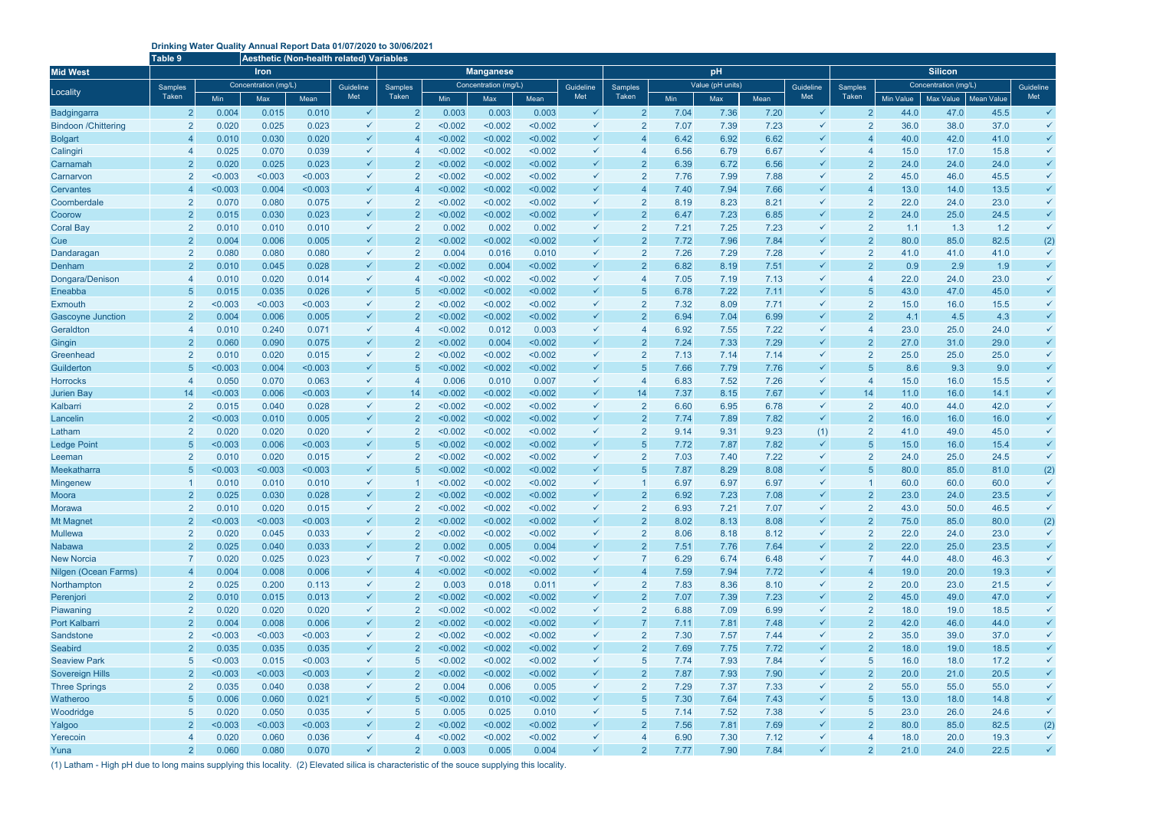## **Drinking Water Quality Annual Report Data 01/07/2020 to 30/06/2021**

|                                            | <b>Table 9</b>                   |                | Aesthetic (Non-health related) Variables |                |                              |                  |                      |                    |                    |                              |                                  |              |                  |              |                              |                 |                      |                  |                   |                              |  |  |
|--------------------------------------------|----------------------------------|----------------|------------------------------------------|----------------|------------------------------|------------------|----------------------|--------------------|--------------------|------------------------------|----------------------------------|--------------|------------------|--------------|------------------------------|-----------------|----------------------|------------------|-------------------|------------------------------|--|--|
| <b>Mid West</b><br>Locality                |                                  |                | <b>Iron</b>                              |                |                              | <b>Manganese</b> |                      |                    |                    |                              |                                  |              | pH               |              |                              |                 |                      | <b>Silicon</b>   |                   |                              |  |  |
|                                            | <b>Samples</b>                   |                | Concentration (mg/L)                     |                | Guideline                    | Samples          | Concentration (mg/L) |                    |                    | Guideline                    | <b>Samples</b>                   |              | Value (pH units) |              |                              | <b>Samples</b>  | Concentration (mg/L) |                  |                   | Guideline                    |  |  |
|                                            | Taken                            | Min            | Max                                      | Mean           | Met                          | Taken            | Min                  | <b>Max</b>         | Mean               | Met                          | Taken                            | Min          | Max              | Mean         | <b>Guideline</b><br>Met      | Taken           | <b>Min Value</b>     | <b>Max Value</b> | <b>Mean Value</b> | Met                          |  |  |
| <b>Badgingarra</b>                         | $\overline{2}$                   | 0.004          | 0.015                                    | 0.010          | $\checkmark$                 | $\overline{2}$   | 0.003                | 0.003              | 0.003              | $\checkmark$                 | $\overline{2}$                   | 7.04         | 7.36             | 7.20         | $\checkmark$                 | $\mathcal{P}$   | 44.0                 | 47.0             | 45.5              | $\checkmark$                 |  |  |
| <b>Bindoon /Chittering</b>                 | $\overline{2}$                   | 0.020          | 0.025                                    | 0.023          | $\checkmark$                 | $\overline{2}$   | < 0.002              | < 0.002            | < 0.002            | $\checkmark$                 | $\overline{2}$                   | 7.07         | 7.39             | 7.23         | ✓                            | $\overline{2}$  | 36.0                 | 38.0             | 37.0              | $\checkmark$                 |  |  |
| <b>Bolgart</b>                             | $\overline{4}$                   | 0.010          | 0.030                                    | 0.020          | $\checkmark$                 |                  | < 0.002              | < 0.002            | < 0.002            | $\checkmark$                 | $\overline{4}$                   | 6.42         | 6.92             | 6.62         | ✓                            |                 | 40.0                 | 42.0             | 41.0              | $\checkmark$                 |  |  |
| Calingiri                                  | $\overline{4}$                   | 0.025          | 0.070                                    | 0.039          | $\checkmark$                 |                  | < 0.002              | < 0.002            | < 0.002            | $\checkmark$                 | 4                                | 6.56         | 6.79             | 6.67         | ✓                            |                 | 15.0                 | 17.0             | 15.8              | $\checkmark$                 |  |  |
| Carnamah                                   | $\overline{2}$                   | 0.020          | 0.025                                    | 0.023          | $\checkmark$                 | 2                | < 0.002              | < 0.002            | < 0.002            | $\checkmark$                 | $\overline{2}$                   | 6.39         | 6.72             | 6.56         | ✓                            | $\overline{2}$  | 24.0                 | 24.0             | 24.0              | $\checkmark$                 |  |  |
| Carnarvon                                  | $\overline{2}$                   | < 0.003        | < 0.003                                  | < 0.003        | $\checkmark$                 | $\overline{2}$   | < 0.002              | < 0.002            | < 0.002            | $\checkmark$                 | $\overline{2}$                   | 7.76         | 7.99             | 7.88         | ✓                            | $\overline{2}$  | 45.0                 | 46.0             | 45.5              | $\checkmark$                 |  |  |
| <b>Cervantes</b>                           | $\overline{4}$                   | < 0.003        | 0.004                                    | < 0.003        | $\checkmark$                 |                  | < 0.002              | < 0.002            | < 0.002            | $\checkmark$                 | $\overline{4}$                   | 7.40         | 7.94             | 7.66         | ✓                            | $\overline{4}$  | 13.0                 | 14.0             | 13.5              | $\checkmark$                 |  |  |
| Coomberdale                                | $\overline{2}$                   | 0.070          | 0.080                                    | 0.075          | $\checkmark$                 | $\overline{2}$   | < 0.002              | < 0.002            | < 0.002            | $\checkmark$                 | $\overline{2}$                   | 8.19         | 8.23             | 8.21         | ✓                            | $\overline{2}$  | 22.0                 | 24.0             | 23.0              | $\checkmark$                 |  |  |
| Coorow                                     | $\overline{2}$                   | 0.015          | 0.030                                    | 0.023          | $\checkmark$                 | $\overline{2}$   | < 0.002              | < 0.002            | < 0.002            | $\checkmark$                 | $\overline{2}$                   | 6.47         | 7.23             | 6.85         | ✓                            | $\overline{2}$  | 24.0                 | 25.0             | 24.5              | $\checkmark$                 |  |  |
| <b>Coral Bay</b>                           | $\overline{2}$                   | 0.010          | 0.010                                    | 0.010          | $\checkmark$                 | $\overline{2}$   | 0.002                | 0.002              | 0.002              | $\checkmark$                 | $\overline{2}$                   | 7.21         | 7.25             | 7.23         | ✓                            | $\overline{2}$  | 1.1                  | 1.3              | 1.2               | $\checkmark$                 |  |  |
| <b>Cue</b>                                 | $\overline{2}$                   | 0.004          | 0.006                                    | 0.005          | $\checkmark$                 | $\overline{2}$   | < 0.002              | < 0.002            | < 0.002            | $\checkmark$                 | $\overline{2}$                   | 7.72         | 7.96             | 7.84         | ✓                            | $\overline{2}$  | 80.0                 | 85.0             | 82.5              | (2)                          |  |  |
| Dandaragan                                 | $\overline{2}$                   | 0.080          | 0.080                                    | 0.080          | $\checkmark$                 | $\overline{2}$   | 0.004                | 0.016              | 0.010              | ✓                            | $\overline{2}$                   | 7.26         | 7.29             | 7.28         | ✓                            | $\overline{2}$  | 41.0                 | 41.0             | 41.0              | $\checkmark$                 |  |  |
| Denham                                     | $\overline{2}$                   | 0.010          | 0.045                                    | 0.028          | $\checkmark$                 | $\overline{2}$   | < 0.002              | 0.004              | < 0.002            | $\checkmark$                 | $\overline{2}$                   | 6.82         | 8.19             | 7.51         | ✓                            | $\overline{2}$  | 0.9                  | 2.9              | 1.9               | $\checkmark$                 |  |  |
| Dongara/Denison                            | $\overline{4}$                   | 0.010          | 0.020                                    | 0.014          | $\checkmark$                 | 4                | < 0.002              | < 0.002            | < 0.002            | $\checkmark$                 | 4                                | 7.05         | 7.19             | 7.13         | ✓                            | $\overline{4}$  | 22.0                 | 24.0             | 23.0              | $\checkmark$                 |  |  |
| Eneabba                                    | -5                               | 0.015          | 0.035                                    | 0.026          | $\checkmark$                 | 5                | < 0.002              | < 0.002            | < 0.002            | $\checkmark$                 | 5                                | 6.78         | 7.22             | 7.11         | ✓                            | -5              | 43.0                 | 47.0             | 45.0              | $\checkmark$                 |  |  |
| <b>Exmouth</b>                             | $\overline{2}$                   | < 0.003        | < 0.003                                  | < 0.003        | $\checkmark$                 | $\overline{2}$   | < 0.002              | < 0.002            | < 0.002            | $\checkmark$                 | $\overline{2}$                   | 7.32         | 8.09             | 7.71         | ✓                            | $\overline{2}$  | 15.0                 | 16.0             | 15.5              | $\checkmark$                 |  |  |
| <b>Gascoyne Junction</b>                   | $\mathcal{P}$                    | 0.004          | 0.006                                    | 0.005          | $\checkmark$                 | $\overline{2}$   | < 0.002              | < 0.002            | < 0.002            | ✓                            | $\overline{2}$                   | 6.94         | 7.04             | 6.99         | ✓                            | $\overline{2}$  | 4.1                  | 4.5              | 4.3               | $\checkmark$                 |  |  |
| Geraldton                                  |                                  | 0.010          | 0.240                                    | 0.071          | $\checkmark$                 |                  | < 0.002              | 0.012              | 0.003              | $\checkmark$                 | 4                                | 6.92         | 7.55             | 7.22         | ✓                            |                 | 23.0                 | 25.0             | 24.0              | $\checkmark$                 |  |  |
| Gingin                                     | $\overline{2}$                   | 0.060          | 0.090                                    | 0.075          | $\checkmark$                 | $\overline{2}$   | < 0.002              | 0.004              | < 0.002            | $\checkmark$                 | $\overline{2}$                   | 7.24         | 7.33             | 7.29         | ✓                            | $\overline{2}$  | 27.0                 | 31.0             | 29.0              | $\checkmark$                 |  |  |
| Greenhead                                  | $\overline{2}$                   | 0.010          | 0.020                                    | 0.015          | $\checkmark$                 | $\overline{2}$   | < 0.002              | < 0.002            | < 0.002            | $\checkmark$                 | $\overline{2}$                   | 7.13         | 7.14             | 7.14         | ✓                            | $\overline{2}$  | 25.0                 | 25.0             | 25.0              |                              |  |  |
| Guilderton                                 | -5                               | < 0.003        | 0.004                                    | < 0.003        | $\checkmark$                 | 5                | < 0.002              | < 0.002            | < 0.002            | $\checkmark$                 | $\overline{5}$                   | 7.66         | 7.79             | 7.76         | ✓                            | 5               | 8.6                  | 9.3              | 9.0               | $\checkmark$                 |  |  |
| <b>Horrocks</b>                            |                                  | 0.050          | 0.070                                    | 0.063          | $\checkmark$                 |                  | 0.006                | 0.010              | 0.007              | ✓                            | $\overline{4}$                   | 6.83         | 7.52             | 7.26         | ✓                            | $\overline{4}$  | 15.0                 | 16.0             | 15.5              | $\checkmark$                 |  |  |
| <b>Jurien Bay</b>                          | 14                               | < 0.003        | 0.006                                    | < 0.003        | $\checkmark$                 | 14               | < 0.002              | < 0.002            | < 0.002            | $\checkmark$                 | 14                               | 7.37         | 8.15             | 7.67         | ✓                            | 14              | 11.0                 | 16.0             | 14.1              | $\checkmark$                 |  |  |
| Kalbarri                                   | $\overline{2}$                   | 0.015          | 0.040                                    | 0.028          | $\checkmark$                 | $\overline{2}$   | < 0.002              | < 0.002            | < 0.002            | $\checkmark$                 | $\overline{2}$                   | 6.60         | 6.95             | 6.78         | $\checkmark$                 | $\overline{2}$  | 40.0                 | 44.0             | 42.0              | $\checkmark$                 |  |  |
| Lancelin                                   |                                  | < 0.003        | 0.010                                    | 0.005          | $\checkmark$                 | 2                | < 0.002              | < 0.002            | < 0.002            | $\checkmark$                 | $\overline{2}$                   | 7.74         | 7.89             | 7.82         | $\checkmark$                 | $\overline{2}$  | 16.0                 | 16.0             | 16.0              | $\checkmark$                 |  |  |
| Latham                                     | $\overline{2}$                   | 0.020          | 0.020                                    | 0.020          | $\checkmark$                 | $\overline{2}$   | < 0.002              | < 0.002            | < 0.002            | $\checkmark$                 | $\overline{2}$                   | 9.14         | 9.31             | 9.23         | (1)                          | $\overline{2}$  | 41.0                 | 49.0             | 45.0              | $\checkmark$                 |  |  |
| <b>Ledge Point</b>                         | -5                               | < 0.003        | 0.006                                    | < 0.003        | $\checkmark$                 |                  | < 0.002              | < 0.002            | < 0.002            | $\checkmark$                 | $\overline{5}$                   | 7.72         | 7.87             | 7.82         | $\checkmark$                 | $5\overline{5}$ | 15.0                 | 16.0             | 15.4              | $\checkmark$                 |  |  |
| Leeman                                     | $\overline{2}$                   | 0.010          | 0.020                                    | 0.015          | $\checkmark$                 | $\overline{2}$   | < 0.002              | < 0.002            | < 0.002            | $\checkmark$                 | $\overline{2}$                   | 7.03         | 7.40             | 7.22         | ✓                            | $\overline{2}$  | 24.0                 | 25.0             | 24.5              | $\checkmark$                 |  |  |
| Meekatharra                                |                                  | < 0.003        | < 0.003                                  | < 0.003        | $\checkmark$                 |                  | < 0.002              | < 0.002            | < 0.002            | $\checkmark$                 | 5                                | 7.87         | 8.29             | 8.08         | ✓                            | 5               | 80.0                 | 85.0             | 81.0              | (2)                          |  |  |
| <b>Mingenew</b>                            |                                  | 0.010          | 0.010                                    | 0.010          |                              |                  | < 0.002              | < 0.002            | < 0.002            |                              |                                  | 6.97         | 6.97             | 6.97         | ✓                            |                 | 60.0                 | 60.0             | 60.0              |                              |  |  |
| Moora                                      | $\overline{2}$                   | 0.025          | 0.030                                    | 0.028          | $\checkmark$                 | $\overline{2}$   | < 0.002              | < 0.002            | < 0.002            | $\checkmark$                 | $\overline{2}$                   | 6.92         | 7.23             | 7.08         | $\checkmark$                 | $\overline{2}$  | 23.0                 | 24.0             | 23.5              |                              |  |  |
| Morawa                                     | $\overline{2}$                   | 0.010          | 0.020                                    | 0.015          | $\checkmark$                 | $\overline{2}$   | < 0.002              | < 0.002            | < 0.002            | $\checkmark$                 | $\overline{2}$                   | 6.93         | 7.21             | 7.07         | ✓                            | $\overline{2}$  | 43.0                 | 50.0             | 46.5              |                              |  |  |
| <b>Mt Magnet</b>                           | $\overline{2}$                   | < 0.003        | < 0.003                                  | < 0.003        | $\checkmark$                 | $\overline{2}$   | < 0.002              | < 0.002            | < 0.002            | $\checkmark$                 | $\overline{2}$                   | 8.02         | 8.13             | 8.08         | $\checkmark$                 | $\overline{2}$  | 75.0                 | 85.0             | 80.0              | (2)                          |  |  |
| <b>Mullewa</b>                             | $\overline{2}$                   | 0.020          | 0.045                                    | 0.033          | $\checkmark$                 | $\overline{2}$   | < 0.002              | < 0.002            | < 0.002            | $\checkmark$                 | $\overline{2}$                   | 8.06         | 8.18             | 8.12         | ✓                            | $\overline{2}$  | 22.0                 | 24.0             | 23.0              | $\checkmark$<br>$\checkmark$ |  |  |
| <b>Nabawa</b>                              | $\overline{2}$                   | 0.025          | 0.040                                    | 0.033          | $\checkmark$                 | $\overline{2}$   | 0.002                | 0.005              | 0.004              | $\checkmark$                 | $\overline{2}$                   | 7.51         | 7.76             | 7.64         | $\checkmark$                 | $\overline{2}$  | 22.0                 | 25.0             | 23.5              | $\checkmark$                 |  |  |
| <b>New Norcia</b>                          |                                  | 0.020          | 0.025<br>0.008                           | 0.023          | $\checkmark$<br>$\checkmark$ | $\overline{4}$   | < 0.002              | < 0.002<br>< 0.002 | < 0.002<br>< 0.002 | $\checkmark$<br>$\checkmark$ | $\overline{7}$<br>$\overline{4}$ | 6.29         | 6.74             | 6.48         | $\checkmark$<br>$\checkmark$ | $\overline{4}$  | 44.0                 | 48.0             | 46.3              | $\checkmark$                 |  |  |
| <b>Nilgen (Ocean Farms)</b><br>Northampton | $\overline{4}$<br>$\overline{2}$ | 0.004<br>0.025 | 0.200                                    | 0.006<br>0.113 | $\checkmark$                 | $\overline{2}$   | < 0.002<br>0.003     | 0.018              | 0.011              | $\checkmark$                 |                                  | 7.59<br>7.83 | 7.94<br>8.36     | 7.72<br>8.10 | ✓                            | $\overline{2}$  | 19.0<br>20.0         | 20.0<br>23.0     | 19.3<br>$21.5$    | $\checkmark$                 |  |  |
| Perenjori                                  | $\overline{2}$                   | 0.010          | 0.015                                    | 0.013          | $\checkmark$                 | $\overline{2}$   | < 0.002              | < 0.002            | < 0.002            | $\checkmark$                 | $\overline{2}$<br>$\overline{2}$ | 7.07         | 7.39             | 7.23         | $\checkmark$                 | $\overline{2}$  | 45.0                 | 49.0             | 47.0              | $\checkmark$                 |  |  |
| Piawaning                                  | $\overline{2}$                   | 0.020          | 0.020                                    | 0.020          | $\checkmark$                 | $\overline{2}$   | < 0.002              | < 0.002            | < 0.002            | $\checkmark$                 | $\overline{2}$                   | 6.88         | 7.09             | 6.99         | $\checkmark$                 | $\overline{2}$  | 18.0                 | 19.0             | 18.5              | $\checkmark$                 |  |  |
| <b>Port Kalbarri</b>                       | $\overline{2}$                   | 0.004          | 0.008                                    | 0.006          | $\checkmark$                 | $\overline{2}$   | < 0.002              | < 0.002            | < 0.002            | $\checkmark$                 | $\overline{7}$                   | 7.11         | 7.81             | 7.48         | $\checkmark$                 | $\overline{2}$  | 42.0                 | 46.0             | 44.0              | $\checkmark$                 |  |  |
| Sandstone                                  | $\overline{2}$                   | < 0.003        | < 0.003                                  | < 0.003        | $\checkmark$                 | $\overline{2}$   | < 0.002              | < 0.002            | < 0.002            | $\checkmark$                 | $\overline{2}$                   | 7.30         | 7.57             | 7.44         | ✓                            | $\overline{2}$  | 35.0                 | 39.0             | 37.0              | $\checkmark$                 |  |  |
| <b>Seabird</b>                             | $\overline{2}$                   | 0.035          | 0.035                                    | 0.035          | $\checkmark$                 | $\overline{2}$   | < 0.002              | < 0.002            | < 0.002            | $\checkmark$                 | $\overline{2}$                   | 7.69         | 7.75             | 7.72         | $\checkmark$                 | $\overline{2}$  | 18.0                 | 19.0             | 18.5              | $\checkmark$                 |  |  |
| <b>Seaview Park</b>                        | -5                               | < 0.003        | 0.015                                    | < 0.003        | $\checkmark$                 | 5                | < 0.002              | < 0.002            | < 0.002            | $\checkmark$                 | 5                                | 7.74         | 7.93             | 7.84         | ✓                            | $\overline{5}$  | 16.0                 | 18.0             | 17.2              | $\checkmark$                 |  |  |
| <b>Sovereign Hills</b>                     | $\overline{2}$                   | < 0.003        | < 0.003                                  | < 0.003        | $\checkmark$                 | $\overline{2}$   | < 0.002              | < 0.002            | < 0.002            | $\checkmark$                 | $\overline{2}$                   | 7.87         | 7.93             | 7.90         | $\checkmark$                 | $\overline{2}$  | 20.0                 | 21.0             | 20.5              | $\checkmark$                 |  |  |
| <b>Three Springs</b>                       | $\overline{2}$                   | 0.035          | 0.040                                    | 0.038          | $\checkmark$                 | $\overline{2}$   | 0.004                | 0.006              | 0.005              | $\checkmark$                 | $\overline{2}$                   | 7.29         | 7.37             | 7.33         | $\checkmark$                 | $\overline{2}$  | 55.0                 | 55.0             | 55.0              | $\checkmark$                 |  |  |
| Watheroo                                   | 5                                | 0.006          | 0.060                                    | 0.021          | $\checkmark$                 | $\overline{5}$   | < 0.002              | 0.010              | < 0.002            | $\checkmark$                 | $\overline{5}$                   | 7.30         | 7.64             | 7.43         | $\checkmark$                 | $5\overline{5}$ | 13.0                 | 18.0             | 14.8              | $\checkmark$                 |  |  |
| Woodridge                                  | 5                                | 0.020          | 0.050                                    | 0.035          | $\checkmark$                 | 5                | 0.005                | 0.025              | 0.010              | $\checkmark$                 | $\sqrt{5}$                       | 7.14         | 7.52             | 7.38         | ✓                            | $\overline{5}$  | 23.0                 | 26.0             | 24.6              | $\checkmark$                 |  |  |
| Yalgoo                                     | $\overline{2}$                   | < 0.003        | < 0.003                                  | < 0.003        | $\checkmark$                 | $\overline{2}$   | < 0.002              | < 0.002            | < 0.002            | $\checkmark$                 | $\overline{2}$                   | 7.56         | 7.81             | 7.69         | $\checkmark$                 | $\overline{2}$  | 80.0                 | 85.0             | 82.5              | (2)                          |  |  |
| Yerecoin                                   | $\overline{4}$                   | 0.020          | 0.060                                    | 0.036          | $\checkmark$                 | 4                | < 0.002              | < 0.002            | < 0.002            | $\checkmark$                 | $\overline{4}$                   | 6.90         | 7.30             | 7.12         | ✓                            | $\overline{4}$  | 18.0                 | 20.0             | 19.3              | $\checkmark$                 |  |  |
| Yuna                                       |                                  | 0.060          | 0.080                                    | 0.070          | $\checkmark$                 | $\overline{2}$   | 0.003                | 0.005              | 0.004              | $\checkmark$                 | $\overline{2}$                   | 7.77         | 7.90             | 7.84         | $\checkmark$                 | $\overline{2}$  | 21.0                 | 24.0             | 22.5              | $\checkmark$                 |  |  |
|                                            |                                  |                |                                          |                |                              |                  |                      |                    |                    |                              |                                  |              |                  |              |                              |                 |                      |                  |                   |                              |  |  |

(1) Latham - High pH due to long mains supplying this locality. (2) Elevated silica is characteristic of the souce supplying this locality.